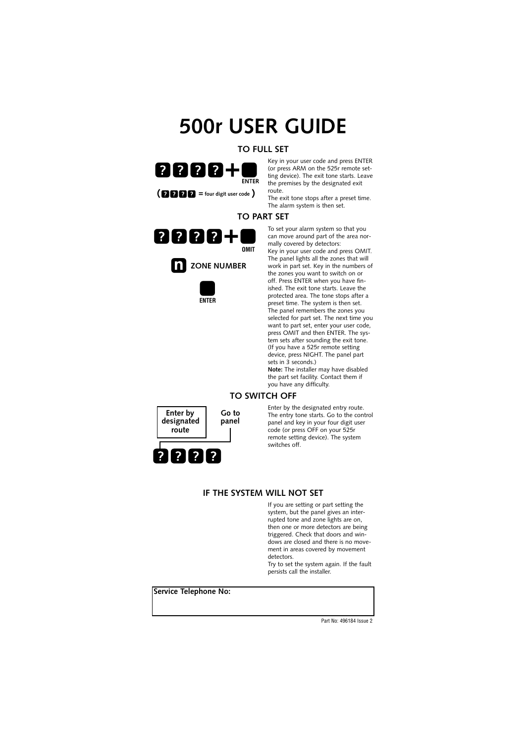# **500r USER GUIDE**

## **TO FULL SET**



 $\left(\begin{array}{c}\n\mathbf{0} & \mathbf{0} \\
\mathbf{0} & \mathbf{0}\n\end{array}\right)$  = four digit user code  $\left(\begin{array}{c}\n\mathbf{0}\n\end{array}\right)$ 

Key in your user code and press ENTER (or press ARM on the 525r remote setting device). The exit tone starts. Leave the premises by the designated exit route.

The exit tone stops after a preset time. The alarm system is then set.

#### **TO PART SET**



**ENTER**

To set your alarm system so that you can move around part of the area normally covered by detectors: Key in your user code and press OMIT. The panel lights all the zones that will work in part set. Key in the numbers of the zones you want to switch on or off. Press ENTER when you have finished. The exit tone starts. Leave the protected area. The tone stops after a preset time. The system is then set. The panel remembers the zones you selected for part set. The next time you want to part set, enter your user code, press OMIT and then ENTER. The system sets after sounding the exit tone. (If you have a 525r remote setting device, press NIGHT. The panel part sets in 3 seconds.)

**Note:** The installer may have disabled the part set facility. Contact them if you have any difficulty.

## **TO SWITCH OFF**



Enter by the designated entry route. The entry tone starts. Go to the control panel and key in your four digit user code (or press OFF on your 525r remote setting device). The system switches off.

#### **IF THE SYSTEM WILL NOT SET**

If you are setting or part setting the system, but the panel gives an interrupted tone and zone lights are on, then one or more detectors are being triggered. Check that doors and windows are closed and there is no movement in areas covered by movement detectors. Try to set the system again. If the fault

persists call the installer.

**Service Telephone No:**

Part No: 496184 Issue 2